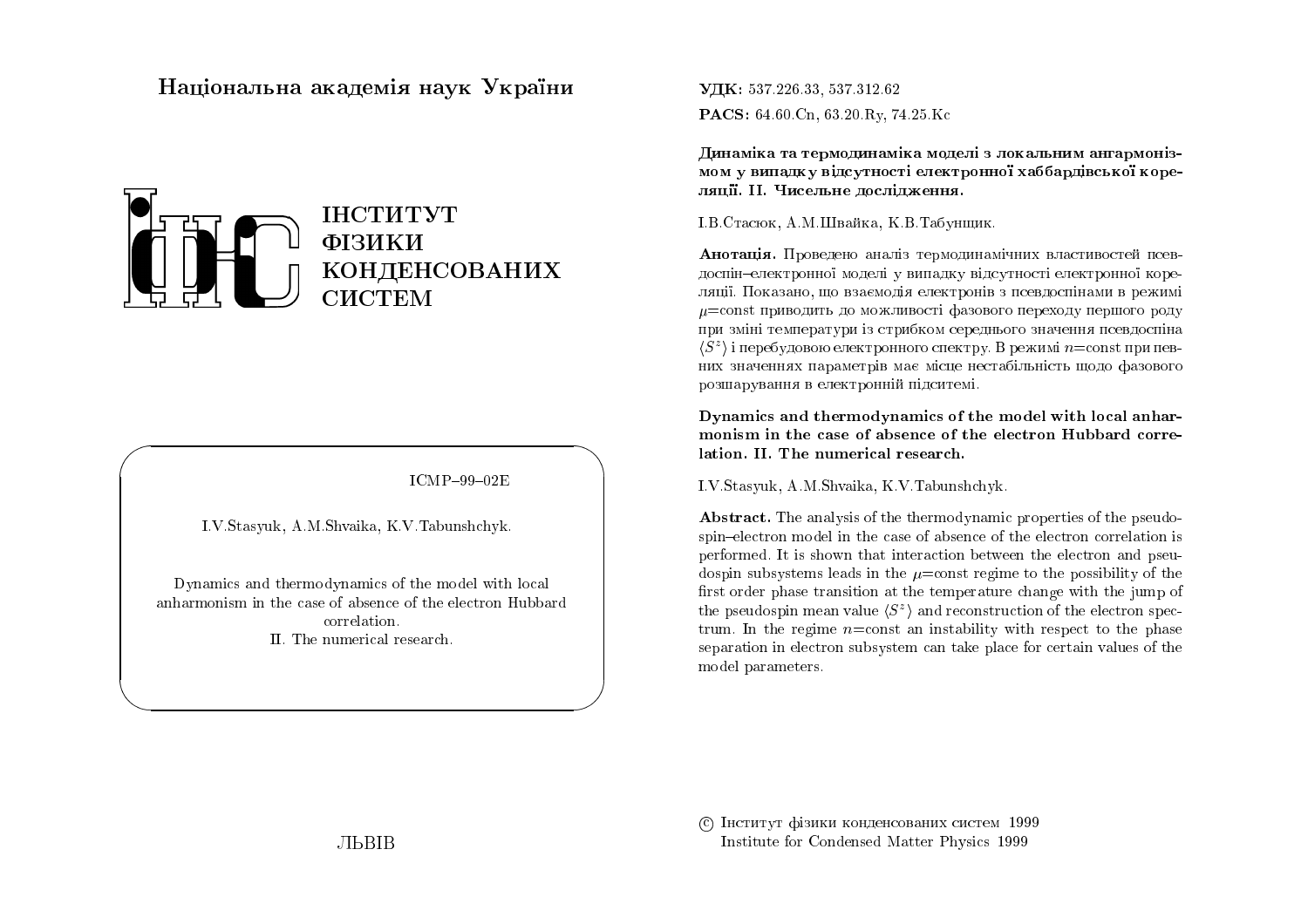# Національна академія наук України



 $ICMP-99-02E$ 

I.V.Stasyuk, A.M.Shvaika, K.V.Tabunshchyk.

Dynamics and thermodynamics of the model with local anharmonism in the case of absence of the electron Hubbard correlation II. The numerical research.

УДК: 537.226.33, 537.312.62 PACS: 64.60.Cn, 63.20.Ry, 74.25.Kc

Динаміка та термодинаміка моделі з локальним ангармонізмом у випадку відсутності електронної хаббардівської кореляції. II. Чисельне дослідження.

І.В.Стасюк, А.М.Швайка, К.В.Табунщик.

Анотація. Проведено аналіз термодинамічних властивостей псевдоспін-електронної моделі у випадку відсутності електронної кореляції. Показано, що взаємодія електронів з псевдоспінами в режимі  $\mu$ =const приводить до можливості фазового переходу першого роду при зміні температури із стрибком середнього значення псевдоспіна  $\langle S^z \rangle$  і перебудовою електронного спектру. В режимі  $n =$ const при певних значеннях параметрів має місце нестабільність щодо фазового розшарування в електронній підситемі.

Dynamics and thermodynamics of the model with local anharmonism in the case of absence of the electron Hubbard correlation. II. The numerical research.

I.V.Stasyuk, A.M.Shvaika, K.V.Tabunshchyk.

**Abstract.** The analysis of the thermodynamic properties of the pseudospin-electron model in the case of absence of the electron correlation is performed. It is shown that interaction between the electron and pseudospin subsystems leads in the  $\mu$ =const regime to the possibility of the first order phase transition at the temperature change with the jump of the pseudospin mean value  $\langle S^z \rangle$  and reconstruction of the electron spectrum. In the regime  $n = \text{const}$  an instability with respect to the phase separation in electron subsystem can take place for certain values of the model parameters.

С Інститут фізики конденсованих систем 1999 Institute for Condensed Matter Physics 1999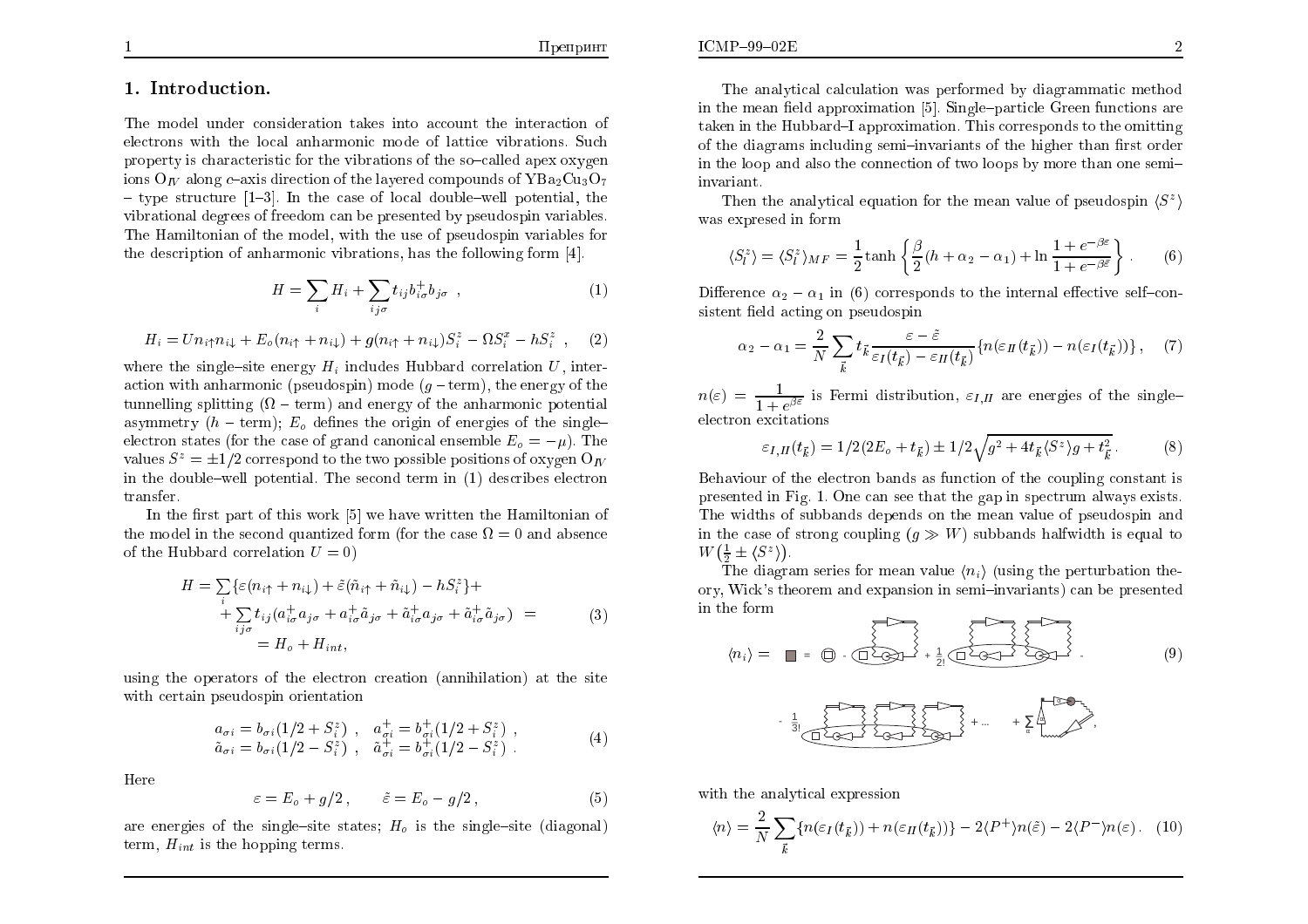## 1. Introduction.

The model under consideration takes into account the interaction of electrons with the local anharmonic mode of lattice vibrations. Such property is characteristic for the vibrations of the so-called apex oxygen ions O<sub>N</sub> along c-axis direction of the layered compounds of YBa<sub>2</sub>Cu<sub>3</sub>O<sub>7</sub>  $-$  type structure [1-3]. In the case of local double-well potential, the vibrational degrees of freedom can be presented by pseudospin variables. The Hamiltonian of the model, with the use of pseudospin variables for the description of anharmonic vibrations, has the following form [4].

$$
H = \sum_{i} H_i + \sum_{ij\sigma} t_{ij} b_{i\sigma}^{\dagger} b_{j\sigma} , \qquad (1)
$$

$$
H_i = U n_i \uparrow n_i + E_o(n_i \uparrow + n_i) + g(n_i \uparrow + n_i) S_i^z - \Omega S_i^x - h S_i^z , \quad (2)
$$

where the single-site energy  $H_i$  includes Hubbard correlation U, interaction with anharmonic (pseudospin) mode  $(q - term)$ , the energy of the tunnelling splitting  $(\Omega - \text{term})$  and energy of the anharmonic potential asymmetry  $(h - \text{term})$ :  $E_0$  defines the origin of energies of the singleelectron states (for the case of grand canonical ensemble  $E_0 = -\mu$ ). The values  $S^z = \pm 1/2$  correspond to the two possible positions of oxygen  $O_{I\!V}$ in the double-well potential. The second term in (1) describes electron transfer.

In the first part of this work [5] we have written the Hamiltonian of the model in the second quantized form (for the case  $\Omega = 0$  and absence of the Hubbard correlation  $U=0$ )

$$
H = \sum_{i} \{ \varepsilon (n_{i\uparrow} + n_{i\downarrow}) + \tilde{\varepsilon} (\tilde{n}_{i\uparrow} + \tilde{n}_{i\downarrow}) - hS_{i}^{z} \} + + \sum_{ij\sigma} t_{ij} (a_{i\sigma}^{+} a_{j\sigma} + a_{i\sigma}^{+} \tilde{a}_{j\sigma} + \tilde{a}_{i\sigma}^{+} a_{j\sigma} + \tilde{a}_{i\sigma}^{+} \tilde{a}_{j\sigma}) = = H_{o} + H_{int},
$$
 (3)

using the operators of the electron creation (annihilation) at the site with certain pseudospin orientation

$$
a_{\sigma i} = b_{\sigma i} (1/2 + S_i^z) , \quad a_{\sigma i}^+ = b_{\sigma i}^+ (1/2 + S_i^z) ,\tilde{a}_{\sigma i} = b_{\sigma i} (1/2 - S_i^z) , \quad \tilde{a}_{\sigma i}^+ = b_{\sigma i}^+ (1/2 - S_i^z) .
$$
\n(4)

Here

$$
\varepsilon = E_o + g/2, \qquad \tilde{\varepsilon} = E_o - g/2, \tag{5}
$$

are energies of the single-site states;  $H_0$  is the single-site (diagonal) term,  $H_{int}$  is the hopping terms.

The analytical calculation was performed by diagrammatic method in the mean field approximation [5]. Single-particle Green functions are taken in the Hubbard–I approximation. This corresponds to the omitting of the diagrams including semi-invariants of the higher than first order in the loop and also the connection of two loops by more than one semiinvariant.

Then the analytical equation for the mean value of pseudospin  $\langle S^z \rangle$ was expresed in form

$$
\langle S_l^z \rangle = \langle S_l^z \rangle_{MF} = \frac{1}{2} \tanh \left\{ \frac{\beta}{2} (h + \alpha_2 - \alpha_1) + \ln \frac{1 + e^{-\beta \varepsilon}}{1 + e^{-\beta \varepsilon}} \right\}.
$$
 (6)

Difference  $\alpha_2 - \alpha_1$  in (6) corresponds to the internal effective self-consistent field acting on pseudospin

$$
\alpha_2 - \alpha_1 = \frac{2}{N} \sum_{\vec{k}} t_{\vec{k}} \frac{\varepsilon - \tilde{\varepsilon}}{\varepsilon_I(t_{\vec{k}}) - \varepsilon_{II}(t_{\vec{k}})} \{ n(\varepsilon_{II}(t_{\vec{k}})) - n(\varepsilon_I(t_{\vec{k}})) \}, \quad (7)
$$

 $n(\varepsilon) = \frac{1}{1 + e^{\beta \varepsilon}}$  is Fermi distribution,  $\varepsilon_{I,II}$  are energies of the singleelectron excitations

$$
\varepsilon_{I,II}(t_{\vec{k}}) = 1/2(2E_o + t_{\vec{k}}) \pm 1/2\sqrt{g^2 + 4t_{\vec{k}}\langle S^z \rangle g + t_{\vec{k}}^2}.
$$
 (8)

Behaviour of the electron bands as function of the coupling constant is presented in Fig. 1. One can see that the gap in spectrum always exists. The widths of subbands depends on the mean value of pseudospin and in the case of strong coupling  $(q \gg W)$  subbands halfwidth is equal to  $W(\frac{1}{2}\pm \langle S^z \rangle).$ 

The diagram series for mean value  $\langle n_i \rangle$  (using the perturbation the ory, Wick's theorem and expansion in semi-invariants) can be presented in the form

$$
\langle n_i \rangle = \blacksquare = \bigoplus \cdot \bigoplus \cdot \bigoplus \cdot \uparrow \rightarrow 1 \quad \text{(9)}
$$



with the analytical expression

$$
\langle n \rangle = \frac{2}{N} \sum_{\vec{k}} \{ n(\varepsilon_I(t_{\vec{k}})) + n(\varepsilon_{II}(t_{\vec{k}})) \} - 2 \langle P^+ \rangle n(\tilde{\varepsilon}) - 2 \langle P^- \rangle n(\varepsilon). \tag{10}
$$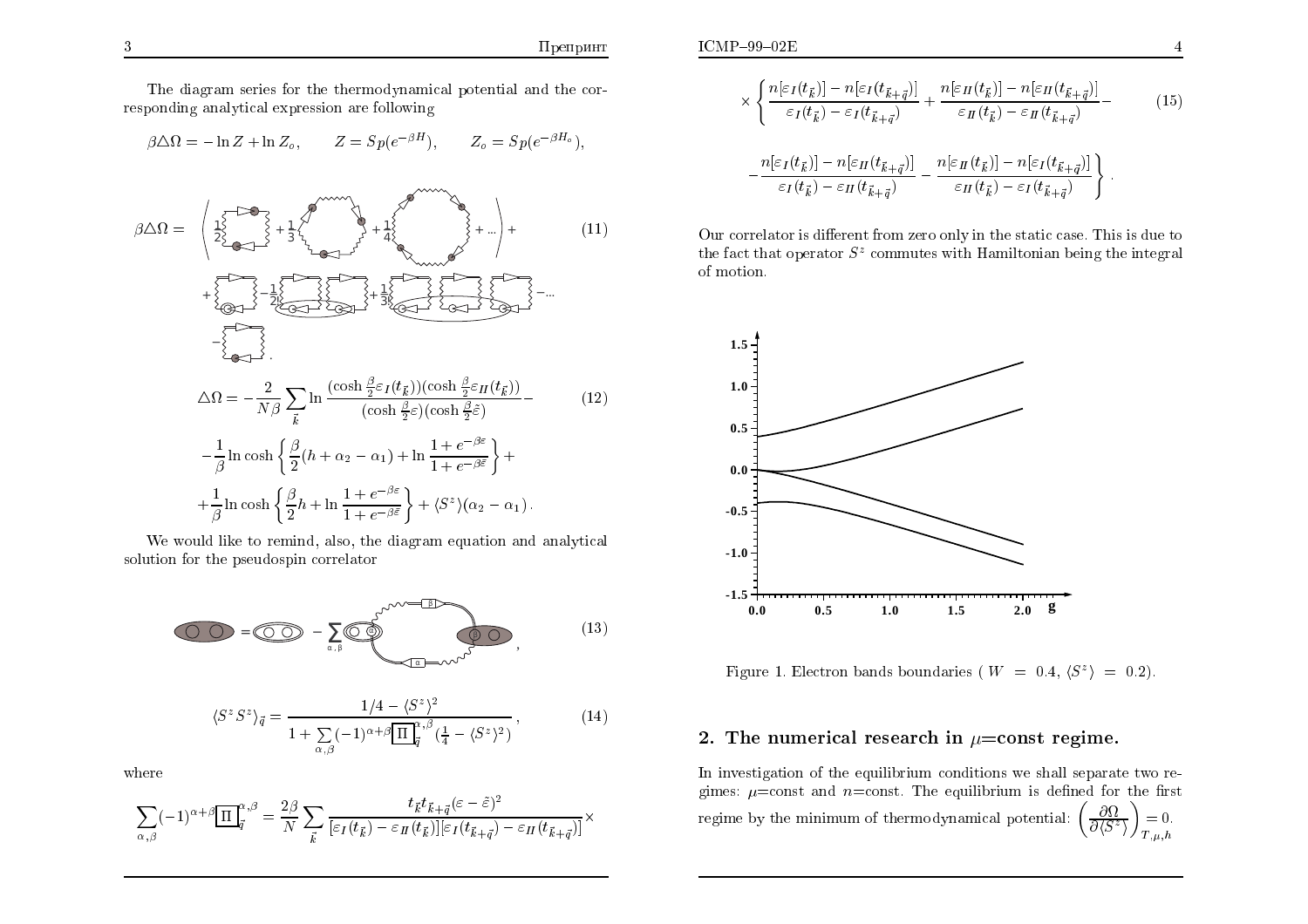The diagram series for the thermodynamical potential and the corresponding analytical expression are following

$$
\beta \triangle \Omega = -\ln Z + \ln Z_o, \qquad Z = Sp(e^{-\beta H}), \qquad Z_o = Sp(e^{-\beta H_o}),
$$

$$
\beta \Delta \Omega = \begin{pmatrix} \frac{1}{2} & \frac{1}{2} & \frac{1}{2} & \frac{1}{2} & \frac{1}{2} & \frac{1}{2} & \frac{1}{2} & \frac{1}{2} & \frac{1}{2} & \frac{1}{2} & \frac{1}{2} & \frac{1}{2} & \frac{1}{2} & \frac{1}{2} & \frac{1}{2} & \frac{1}{2} & \frac{1}{2} & \frac{1}{2} & \frac{1}{2} & \frac{1}{2} & \frac{1}{2} & \frac{1}{2} & \frac{1}{2} & \frac{1}{2} & \frac{1}{2} & \frac{1}{2} & \frac{1}{2} & \frac{1}{2} & \frac{1}{2} & \frac{1}{2} & \frac{1}{2} & \frac{1}{2} & \frac{1}{2} & \frac{1}{2} & \frac{1}{2} & \frac{1}{2} & \frac{1}{2} & \frac{1}{2} & \frac{1}{2} & \frac{1}{2} & \frac{1}{2} & \frac{1}{2} & \frac{1}{2} & \frac{1}{2} & \frac{1}{2} & \frac{1}{2} & \frac{1}{2} & \frac{1}{2} & \frac{1}{2} & \frac{1}{2} & \frac{1}{2} & \frac{1}{2} & \frac{1}{2} & \frac{1}{2} & \frac{1}{2} & \frac{1}{2} & \frac{1}{2} & \frac{1}{2} & \frac{1}{2} & \frac{1}{2} & \frac{1}{2} & \frac{1}{2} & \frac{1}{2} & \frac{1}{2} & \frac{1}{2} & \frac{1}{2} & \frac{1}{2} & \frac{1}{2} & \frac{1}{2} & \frac{1}{2} & \frac{1}{2} & \frac{1}{2} & \frac{1}{2} & \frac{1}{2} & \frac{1}{2} & \frac{1}{2} & \frac{1}{2} & \frac{1}{2} & \frac{1}{2} & \frac{1}{2} & \frac{1}{2} & \frac{1}{2} & \frac{1}{2} & \frac{1}{2} & \frac{1}{2} & \frac{1}{2} & \frac{1}{2} & \frac{1}{2} & \frac{1}{2} & \frac{1}{2} & \frac{1}{2} & \frac{1}{2} & \frac{1}{2} & \frac{
$$

We would like to remind, also, the diagram equation and analytical solution for the pseudospin correlator



where

$$
\sum_{\alpha,\beta}(-1)^{\alpha+\beta}\frac{\Pi_{\vec{q}}^{\alpha,\beta}}{\Pi_{\vec{q}}^{\beta}} = \frac{2\beta}{N}\sum_{\vec{k}}\frac{t_{\vec{k}}t_{\vec{k}+\vec{q}}(\varepsilon-\tilde{\varepsilon})^2}{[\varepsilon_I(t_{\vec{k}})-\varepsilon_{II}(t_{\vec{k}})][\varepsilon_I(t_{\vec{k}+\vec{q}})-\varepsilon_{II}(t_{\vec{k}+\vec{q}})]}\times
$$

$$
\times \left\{ \frac{n[\varepsilon_I(t_{\vec{k}})] - n[\varepsilon_I(t_{\vec{k}+\vec{q}})]}{\varepsilon_I(t_{\vec{k}}) - \varepsilon_I(t_{\vec{k}+\vec{q}})} + \frac{n[\varepsilon_{II}(t_{\vec{k}})] - n[\varepsilon_{II}(t_{\vec{k}+\vec{q}})]}{\varepsilon_{II}(t_{\vec{k}}) - \varepsilon_{II}(t_{\vec{k}+\vec{q}})} - \frac{n[\varepsilon_I(t_{\vec{k}})] - n[\varepsilon_{II}(t_{\vec{k}+\vec{q}})]}{\varepsilon_I(t_{\vec{k}}) - \varepsilon_{II}(t_{\vec{k}+\vec{q}})} - \frac{n[\varepsilon_{II}(t_{\vec{k}})] - n[\varepsilon_I(t_{\vec{k}+\vec{q}})]}{\varepsilon_{II}(t_{\vec{k}}) - \varepsilon_I(t_{\vec{k}+\vec{q}})} \right\}.
$$
\n(15)

Our correlator is different from zero only in the static case. This is due to the fact that operator  $S^z$  commutes with Hamiltonian being the integral of motion.



Figure 1. Electron bands boundaries ( $W = 0.4, \langle S^z \rangle = 0.2$ ).

### 2. The numerical research in  $\mu$ =const regime.

In investigation of the equilibrium conditions we shall separate two regimes:  $\mu$ =const and *n*=const. The equilibrium is defined for the first regime by the minimum of thermodynamical potential:  $\left(\frac{\partial \Omega}{\partial \langle S^z \rangle}\right) = 0$ .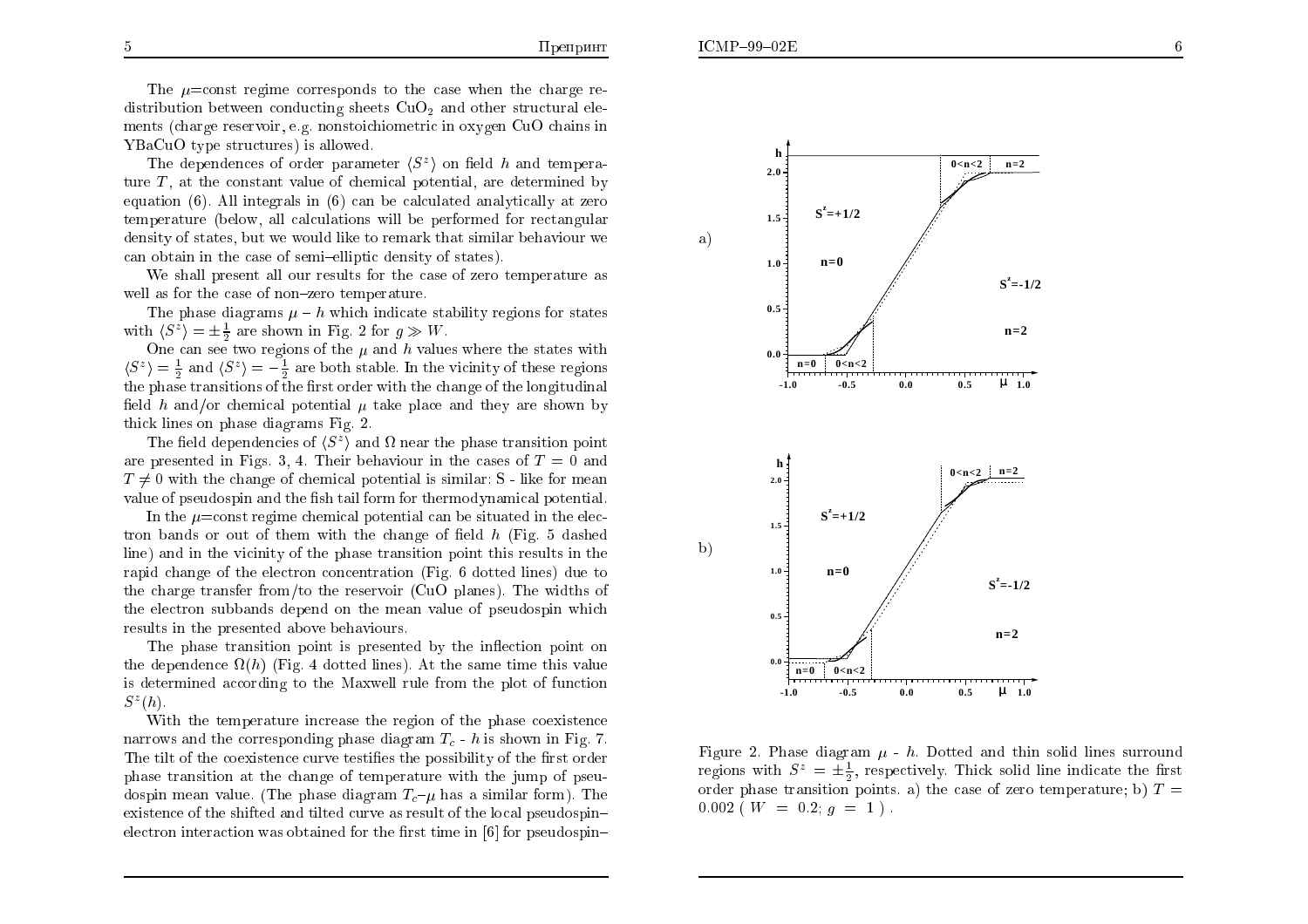The  $\mu$ =const regime corresponds to the case when the charge redistribution between conducting sheets  $CuO<sub>2</sub>$  and other structural elements (charge reservoir, e.g. nonstoichiometric in oxygen CuO chains in YBaCuO type structures) is allowed.

The dependences of order parameter  $\langle S^z \rangle$  on field h and temperature  $T$ , at the constant value of chemical potential, are determined by equation  $(6)$ . All integrals in  $(6)$  can be calculated analytically at zero temperature (below, all calculations will be performed for rectangular density of states, but we would like to remark that similar behaviour we can obtain in the case of semi-elliptic density of states).

We shall present all our results for the case of zero temperature as well as for the case of non-zero temperature.

The phase diagrams  $\mu - h$  which indicate stability regions for states with  $\langle S^z \rangle = \pm \frac{1}{2}$  are shown in Fig. 2 for  $g \gg W$ .

One can see two regions of the  $\mu$  and h values where the states with  $\langle S^z \rangle = \frac{1}{2}$  and  $\langle S^z \rangle = -\frac{1}{2}$  are both stable. In the vicinity of these regions the phase transitions of the first order with the change of the longitudinal field h and/or chemical potential  $\mu$  take place and they are shown by thick lines on phase diagrams Fig. 2.

The field dependencies of  $\langle S^z \rangle$  and  $\Omega$  near the phase transition point are presented in Figs. 3, 4. Their behaviour in the cases of  $T=0$  and  $T \neq 0$  with the change of chemical potential is similar: S - like for mean value of pseudospin and the fish tail form for thermodynamical potential.

In the  $\mu$ =const regime chemical potential can be situated in the electron bands or out of them with the change of field  $h$  (Fig. 5 dashed line) and in the vicinity of the phase transition point this results in the rapid change of the electron concentration (Fig. 6 dotted lines) due to the charge transfer from/to the reservoir (CuO planes). The widths of the electron subbands depend on the mean value of pseudospin which results in the presented above behaviours.

The phase transition point is presented by the inflection point on the dependence  $\Omega(h)$  (Fig. 4 dotted lines). At the same time this value is determined according to the Maxwell rule from the plot of function  $S^z(h)$ .

With the temperature increase the region of the phase coexistence narrows and the corresponding phase diagram  $T_c$  - h is shown in Fig. 7. The tilt of the coexistence curve testifies the possibility of the first order phase transition at the change of temperature with the jump of pseudospin mean value. (The phase diagram  $T_c-\mu$  has a similar form). The existence of the shifted and tilted curve as result of the local pseudospinelectron interaction was obtained for the first time in [6] for pseudospin-



Figure 2. Phase diagram  $\mu$  - h. Dotted and thin solid lines surround regions with  $S^z = \pm \frac{1}{2}$ , respectively. Thick solid line indicate the first order phase transition points. a) the case of zero temperature; b)  $T =$  $0.002$  (*W* = 0.2; *g* = 1).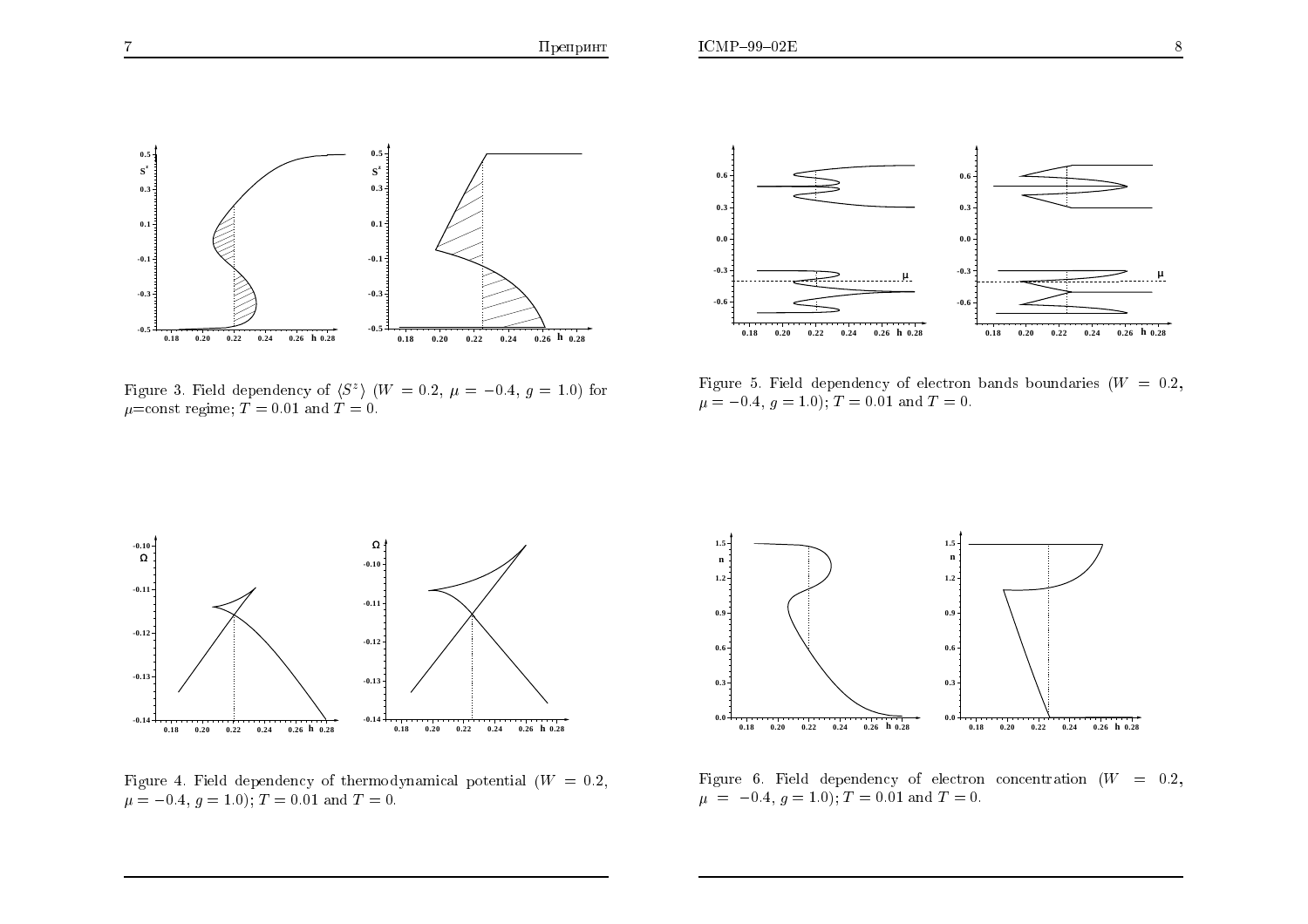



Figure 3. Field dependency of  $\langle S^z \rangle$   $(W = 0.2, \mu = -0.4, g = 1.0)$  for  $\mu$ =const regime; T = 0.01 and T = 0.



Figure 5. Field dependency of electron bands boundaries ( $W = 0.2$ ,  $\mu = -0.4, g = 1.0$ ;  $T = 0.01$  and  $T = 0$ .



Figure 4. Field dependency of thermodynamical potential  $(W = 0.2,$  $\mu = -0.4, g = 1.0$ ;  $T = 0.01$  and  $T = 0$ .



Figure 6. Field dependency of electron concentration  $(W = 0.2,$  $\mu = -0.4, g = 1.0$ ;  $T = 0.01$  and  $T = 0$ .

 $0.5 -$ 

 $S^z$ 

 $0.3\frac{3}{3}$ 

 $0.1 -$ 

 $-0.1 -$ 

 $-0.3\frac{3}{3}$ 

 $-0.5$ 

 $0.18$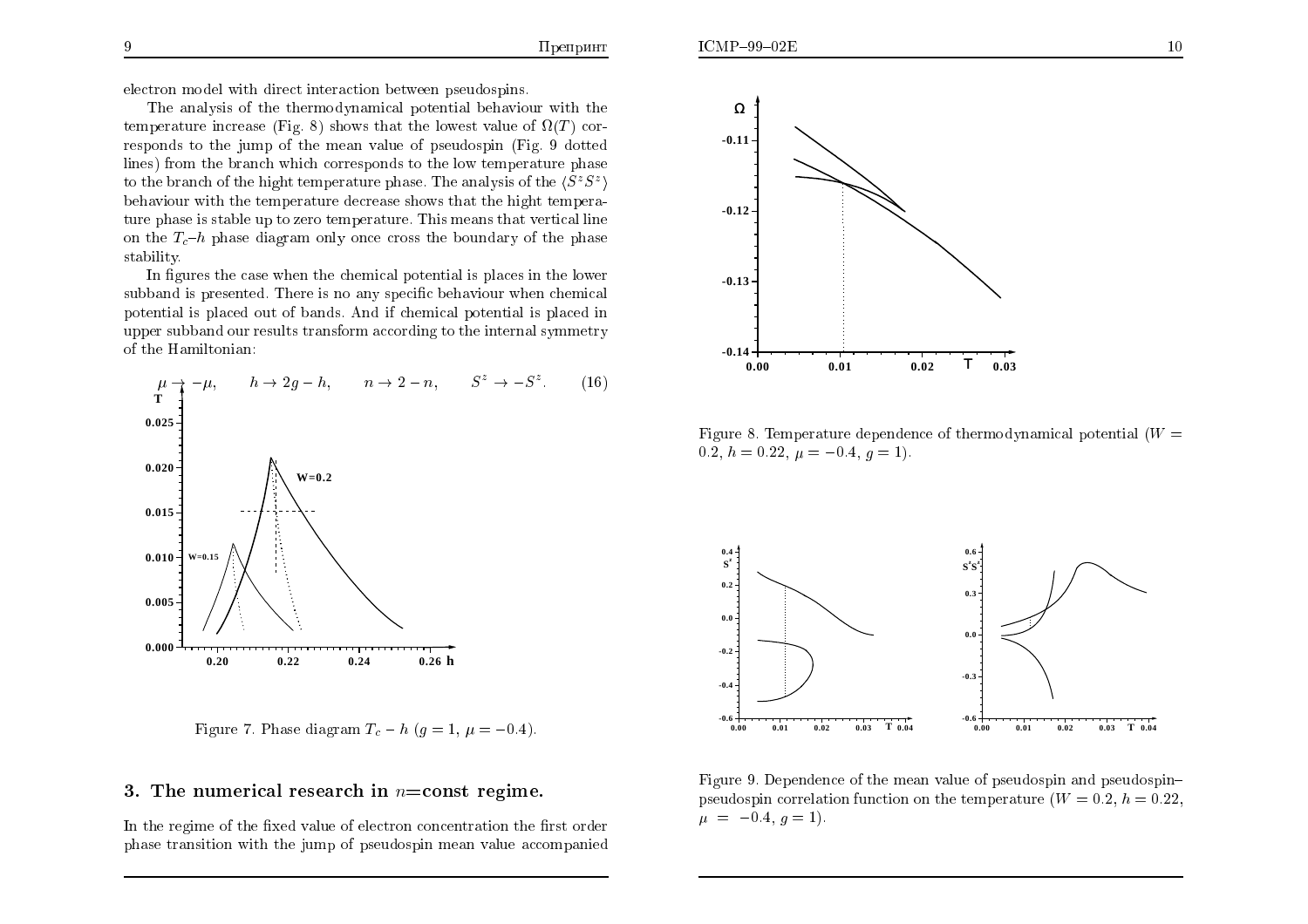electron model with direct interaction between pseudospins.

The analysis of the thermodynamical potential behaviour with the temperature increase (Fig. 8) shows that the lowest value of  $\Omega(T)$  corresponds to the jump of the mean value of pseudospin (Fig. 9 dotted lines) from the branch which corresponds to the low temperature phase to the branch of the hight temperature phase. The analysis of the  $\langle S^zS^z \rangle$ behaviour with the temperature decrease shows that the hight temperature phase is stable up to zero temperature. This means that vertical line on the  $T_c$ -h phase diagram only once cross the boundary of the phase stability.

In figures the case when the chemical potential is places in the lower subband is presented. There is no any specific behaviour when chemical potential is placed out of bands. And if chemical potential is placed in upper subband our results transform according to the internal symmetry of the Hamiltonian:



Figure 7. Phase diagram  $T_c - h$  ( $g = 1, \mu = -0.4$ ).

### 3. The numerical research in  $n = const$  regime.

In the regime of the fixed value of electron concentration the first order phase transition with the jump of pseudospin mean value accompanied



Figure 8. Temperature dependence of thermodynamical potential  $(W =$ 0.2,  $h = 0.22$ ,  $\mu = -0.4$ ,  $g = 1$ ).



Figure 9. Dependence of the mean value of pseudospin and pseudospinpseudospin correlation function on the temperature  $(W = 0.2, h = 0.22)$ .  $\mu = -0.4, g = 1$ .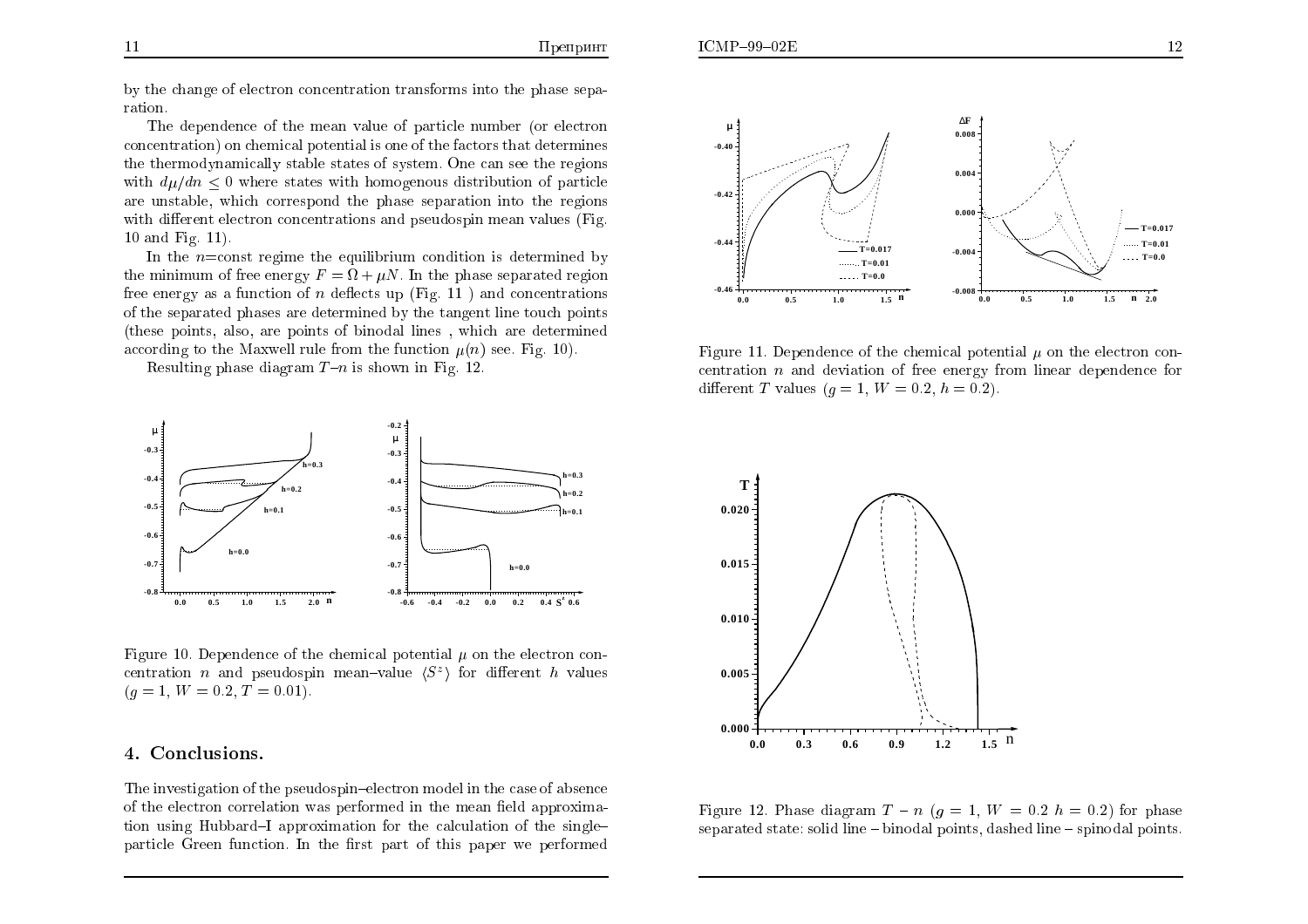$ICMP-99-02E$ 

The dependence of the mean value of particle number (or electron concentration) on chemical potential is one of the factors that determines the thermodynamically stable states of system. One can see the regions with  $d\mu/dn \leq 0$  where states with homogenous distribution of particle are unstable, which correspond the phase separation into the regions with different electron concentrations and pseudospin mean values (Fig. 10 and Fig.  $11$ ).

In the  $n = \text{const}$  regime the equilibrium condition is determined by the minimum of free energy  $F = \Omega + \mu N$ . In the phase separated region free energy as a function of n deflects up (Fig. 11) and concentrations of the separated phases are determined by the tangent line touch points (these points, also, are points of binodal lines, which are determined according to the Maxwell rule from the function  $\mu(n)$  see. Fig. 10).

Resulting phase diagram  $T-n$  is shown in Fig. 12.



Figure 10. Dependence of the chemical potential  $\mu$  on the electron concentration *n* and pseudospin mean-value  $\langle S^z \rangle$  for different *h* values  $(g = 1, W = 0.2, T = 0.01).$ 

#### 4. Conclusions.

The investigation of the pseudospin-electron model in the case of absence of the electron correlation was performed in the mean field approximation using Hubbard–I approximation for the calculation of the single– particle Green function. In the first part of this paper we performed



Figure 11. Dependence of the chemical potential  $\mu$  on the electron concentration  $n$  and deviation of free energy from linear dependence for different T values  $(q = 1, W = 0.2, h = 0.2)$ .



Figure 12. Phase diagram  $T - n$  ( $q = 1$ ,  $W = 0.2$  h = 0.2) for phase separated state: solid line – binodal points, dashed line – spinodal points.

ration.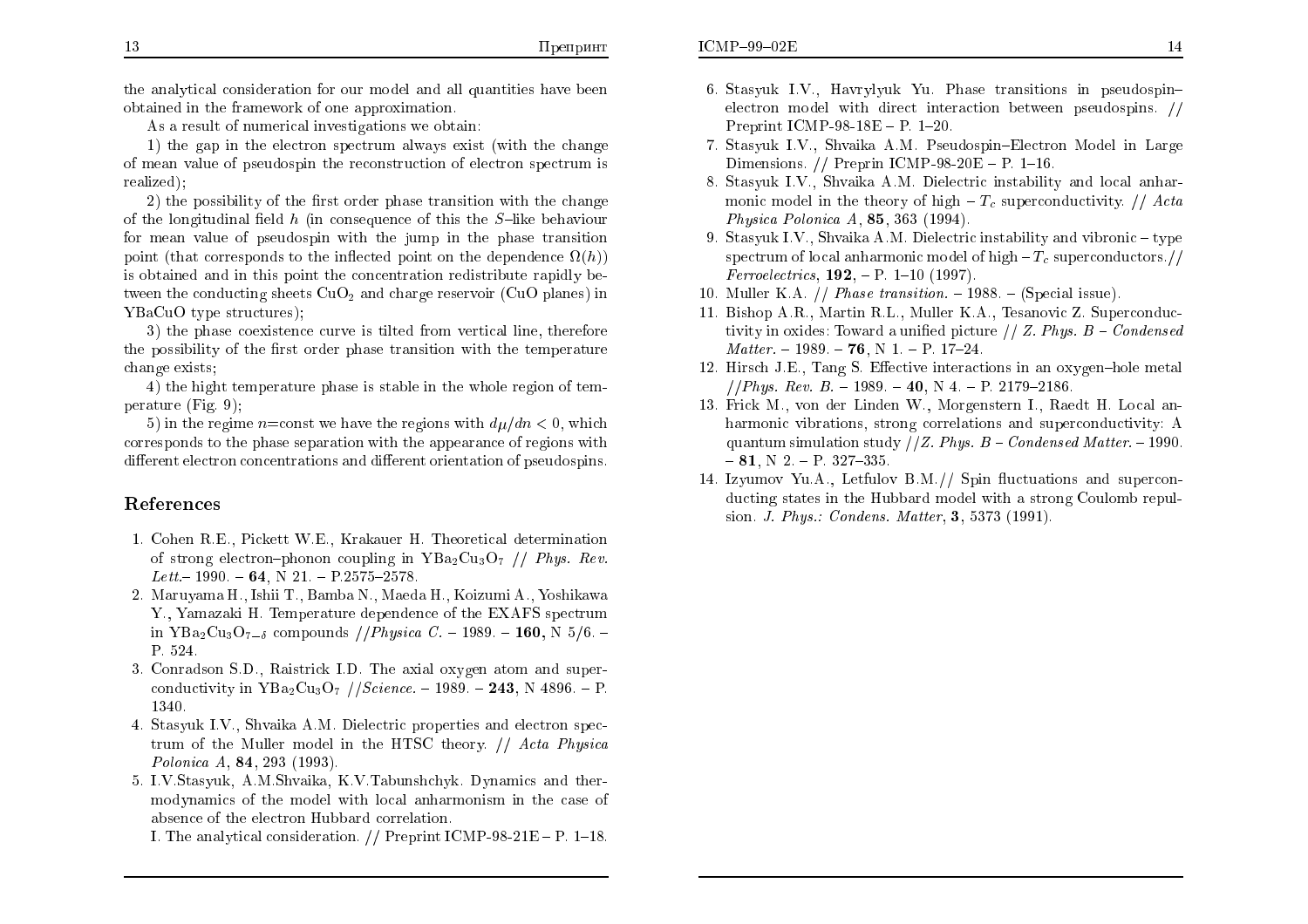the analytical consideration for our model and all quantities have been obtained in the framework of one approximation.

As a result of numerical investigations we obtain:

1) the gap in the electron spectrum always exist (with the change of mean value of pseudospin the reconstruction of electron spectrum is realized):

2) the possibility of the first order phase transition with the change of the longitudinal field h (in consequence of this the  $S$ -like behaviour for mean value of pseudospin with the jump in the phase transition point (that corresponds to the inflected point on the dependence  $\Omega(h)$ ) is obtained and in this point the concentration redistribute rapidly between the conducting sheets  $CuO<sub>2</sub>$  and charge reservoir (CuO planes) in YBaCuO type structures);

3) the phase coexistence curve is tilted from vertical line, therefore the possibility of the first order phase transition with the temperature change exists:

4) the hight temperature phase is stable in the whole region of temperature  $(Fig, 9)$ :

5) in the regime *n*=const we have the regions with  $d\mu/dn < 0$ , which corresponds to the phase separation with the appearance of regions with different electron concentrations and different orientation of pseudospins.

### References

- 1. Cohen R.E., Pickett W.E., Krakauer H. Theoretical determination of strong electron-phonon coupling in  $YBa_2Cu_3O_7$  // Phys. Rev. Lett – 1990. – 64, N 21. – P 2575–2578.
- 2. Maruyama H., Ishii T., Bamba N., Maeda H., Koizumi A., Yoshikawa Y., Yamazaki H. Temperature dependence of the EXAFS spectrum in YBa<sub>2</sub>Cu<sub>3</sub>O<sub>7-6</sub> compounds //*Physica C.* - 1989. - **160**, N 5/6. -P. 524.
- 3. Conradson S.D., Raistrick I.D. The axial oxygen atom and superconductivity in  $YBa_2Cu_3O_7$  //*Science.* - 1989. - **243**, N 4896. - P. 1340
- 4. Stasyuk I.V., Shvaika A.M. Dielectric properties and electron spectrum of the Muller model in the HTSC theory. // Acta Physica Polonica A, 84, 293 (1993).
- 5. I.V.Stasyuk, A.M.Shvaika, K.V.Tabunshchyk. Dynamics and thermodynamics of the model with local anharmonism in the case of absence of the electron Hubbard correlation.

I. The analytical consideration. // Preprint ICMP-98-21E - P. 1-18.

- 6. Stasyuk I.V., Havrylyuk Yu. Phase transitions in pseudospinelectron model with direct interaction between pseudospins. // Preprint ICMP-98-18E - P.  $1-20$ .
- 7. Stasyuk I.V., Shvaika A.M. Pseudospin–Electron Model in Large Dimensions. // Preprin ICMP-98-20E - P. 1-16.
- 8. Stasyuk I.V., Shvaika A.M. Dielectric instability and local annarmonic model in the theory of high  $-T_c$  superconductivity. // Acta Physica Polonica  $A$ , 85, 363 (1994).
- 9. Stasyuk I.V., Shvaika A.M. Dielectric instability and vibronic  $-$ type spectrum of local anharmonic model of high  $-T_c$  superconductors.// *Ferroelectrics*, **192**,  $-$  P. 1–10 (1997).
- 10. Muller K.A. // *Phase transition.*  $-1988$ .  $-(Special issue)$ .
- 11. Bishop A.R., Martin R.L., Muller K.A., Tesanovic Z. Superconductivity in oxides: Toward a unified picture  $// Z. Phys. B - Condensed$  $Matter. - 1989. - 76$ , N 1. - P. 17-24.
- 12. Hirsch J.E., Tang S. Effective interactions in an oxygen-hole metal //*Phus. Rev. B.*  $-1989$ .  $-40$ . N 4.  $-$  P. 2179–2186.
- 13. Frick M., von der Linden W., Morgenstern I., Raedt H. Local anharmonic vibrations, strong correlations and superconductivity: A quantum simulation study //Z. Phys.  $B$  – Condensed Matter. -1990.  $-81$ , N 2. - P. 327-335.
- 14. Izyumov Yu.A., Letfulov B.M.// Spin fluctuations and superconducting states in the Hubbard model with a strong Coulomb repulsion. J. Phys.: Condens. Matter, 3, 5373 (1991).

13